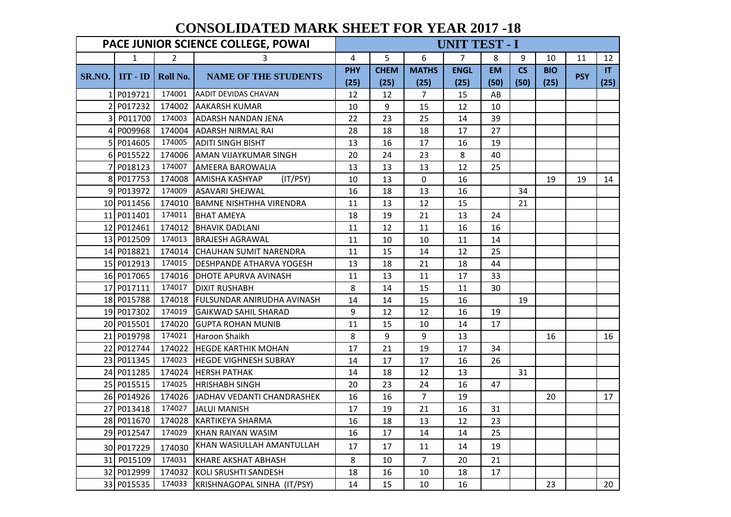## **CONSOLIDATED MARK SHEET FOR YEAR 2017 -18**

|        |                                                                |                | PACE JUNIOR SCIENCE COLLEGE, POWAI |            |             |                | UNIT TEST - I |           |           |            |            |      |
|--------|----------------------------------------------------------------|----------------|------------------------------------|------------|-------------|----------------|---------------|-----------|-----------|------------|------------|------|
|        | $\mathbf{1}$                                                   | $\overline{2}$ | 3                                  | 4          | 5           | 6              | 7             | 8         | 9         | 10         | 11         | 12   |
|        |                                                                |                |                                    | <b>PHY</b> | <b>CHEM</b> | <b>MATHS</b>   | <b>ENGL</b>   | <b>EM</b> | <b>CS</b> | <b>BIO</b> |            | IT   |
| SR.NO. | $\mathbf{I} \mathbf{I} \mathbf{T} \cdot \mathbf{I} \mathbf{D}$ | Roll No.       | <b>NAME OF THE STUDENTS</b>        | (25)       | (25)        | (25)           | (25)          | (50)      | (50)      | (25)       | <b>PSY</b> | (25) |
|        | 1 P019721                                                      | 174001         | <b>AADIT DEVIDAS CHAVAN</b>        | 12         | 12          | $\overline{7}$ | 15            | AB        |           |            |            |      |
|        | 2 P017232                                                      | 174002         | <b>AAKARSH KUMAR</b>               | 10         | 9           | 15             | 12            | 10        |           |            |            |      |
|        | 3 P011700                                                      | 174003         | <b>ADARSH NANDAN JENA</b>          | 22         | 23          | 25             | 14            | 39        |           |            |            |      |
| 4      | P009968                                                        | 174004         | <b>ADARSH NIRMAL RAI</b>           | 28         | 18          | 18             | 17            | 27        |           |            |            |      |
|        | 5 P014605                                                      | 174005         | <b>ADITI SINGH BISHT</b>           | 13         | 16          | 17             | 16            | 19        |           |            |            |      |
|        | 6 P015522                                                      | 174006         | IAMAN VIJAYKUMAR SINGH             | 20         | 24          | 23             | 8             | 40        |           |            |            |      |
|        | P018123                                                        | 174007         | <b>AMEERA BAROWALIA</b>            | 13         | 13          | 13             | 12            | 25        |           |            |            |      |
|        | 8 P017753                                                      | 174008         | (IT/PSY)<br><b>AMISHA KASHYAP</b>  | 10         | 13          | $\mathbf 0$    | 16            |           |           | 19         | 19         | 14   |
|        | 9 P013972                                                      | 174009         | <b>ASAVARI SHEJWAL</b>             | 16         | 18          | 13             | 16            |           | 34        |            |            |      |
|        | 10 P011456                                                     | 174010         | <b>BAMNE NISHTHHA VIRENDRA</b>     | 11         | 13          | 12             | 15            |           | 21        |            |            |      |
|        | 11 P011401                                                     | 174011         | <b>BHAT AMEYA</b>                  | 18         | 19          | 21             | 13            | 24        |           |            |            |      |
|        | 12 P012461                                                     | 174012         | <b>BHAVIK DADLANI</b>              | 11         | 12          | 11             | 16            | 16        |           |            |            |      |
|        | 13 P012509                                                     | 174013         | <b>BRAJESH AGRAWAL</b>             | 11         | 10          | 10             | 11            | 14        |           |            |            |      |
|        | 14 P018821                                                     | 174014         | <b>CHAUHAN SUMIT NARENDRA</b>      | 11         | 15          | 14             | 12            | 25        |           |            |            |      |
|        | 15 P012913                                                     | 174015         | <b>DESHPANDE ATHARVA YOGESH</b>    | 13         | 18          | 21             | 18            | 44        |           |            |            |      |
|        | 16 P017065                                                     | 174016         | DHOTE APURVA AVINASH               | 11         | 13          | 11             | 17            | 33        |           |            |            |      |
|        | 17 P017111                                                     | 174017         | <b>DIXIT RUSHABH</b>               | 8          | 14          | 15             | 11            | 30        |           |            |            |      |
|        | 18 P015788                                                     |                | 174018 FULSUNDAR ANIRUDHA AVINASH  | 14         | 14          | 15             | 16            |           | 19        |            |            |      |
|        | 19 P017302                                                     | 174019         | <b>GAIKWAD SAHIL SHARAD</b>        | 9          | 12          | 12             | 16            | 19        |           |            |            |      |
|        | 20 P015501                                                     | 174020         | <b>GUPTA ROHAN MUNIB</b>           | 11         | 15          | 10             | 14            | 17        |           |            |            |      |
|        | 21 P019798                                                     | 174021         | Haroon Shaikh                      | 8          | 9           | 9              | 13            |           |           | 16         |            | 16   |
|        | 22 P012744                                                     | 174022         | <b>HEGDE KARTHIK MOHAN</b>         | 17         | 21          | 19             | 17            | 34        |           |            |            |      |
|        | 23 P011345                                                     | 174023         | <b>HEGDE VIGHNESH SUBRAY</b>       | 14         | 17          | 17             | 16            | 26        |           |            |            |      |
|        | 24 P011285                                                     | 174024         | <b>HERSH PATHAK</b>                | 14         | 18          | 12             | 13            |           | 31        |            |            |      |
|        | 25 P015515                                                     | 174025         | <b>HRISHABH SINGH</b>              | 20         | 23          | 24             | 16            | 47        |           |            |            |      |
|        | 26 P014926                                                     | 174026         | JADHAV VEDANTI CHANDRASHEK         | 16         | 16          | 7 <sup>1</sup> | 19            |           |           | 20         |            | 17   |
|        | 27 P013418                                                     | 174027         | <b>JALUI MANISH</b>                | 17         | 19          | 21             | 16            | 31        |           |            |            |      |
|        | 28 P011670                                                     |                | 174028 KARTIKEYA SHARMA            | 16         | 18          | 13             | 12            | 23        |           |            |            |      |
|        | 29 P012547                                                     | 174029         | KHAN RAIYAN WASIM                  | 16         | 17          | 14             | 14            | 25        |           |            |            |      |
|        | 30 P017229                                                     | 174030         | KHAN WASIULLAH AMANTULLAH          | 17         | 17          | 11             | 14            | 19        |           |            |            |      |
|        | 31 P015109                                                     | 174031         | <b>KHARE AKSHAT ABHASH</b>         | 8          | 10          | 7 <sup>1</sup> | 20            | 21        |           |            |            |      |
|        | 32 P012999                                                     | 174032         | KOLI SRUSHTI SANDESH               | 18         | 16          | 10             | 18            | 17        |           |            |            |      |
|        | 33 P015535                                                     | 174033         | KRISHNAGOPAL SINHA (IT/PSY)        | 14         | 15          | 10             | 16            |           |           | 23         |            | 20   |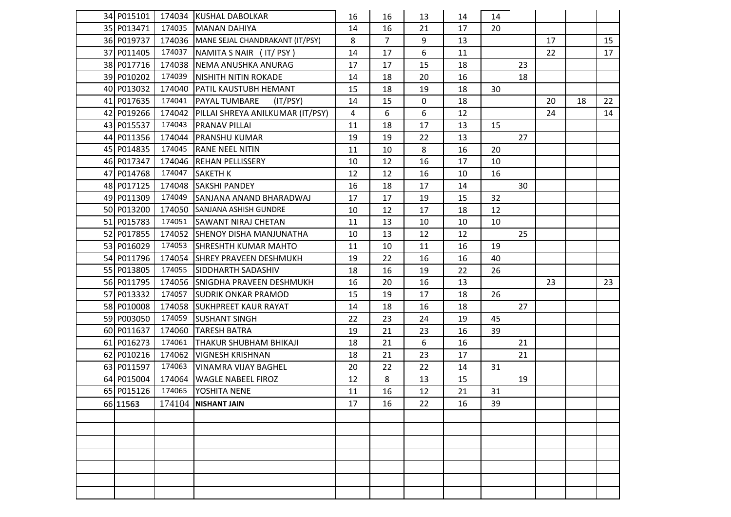| 34 P015101 |        | 174034 KUSHAL DABOLKAR                    | 16 | 16             | 13          | 14 | 14 |    |    |    |    |
|------------|--------|-------------------------------------------|----|----------------|-------------|----|----|----|----|----|----|
| 35 P013471 |        | 174035 MANAN DAHIYA                       | 14 | 16             | 21          | 17 | 20 |    |    |    |    |
| 36 P019737 |        | 174036 MANE SEJAL CHANDRAKANT (IT/PSY)    | 8  | $\overline{7}$ | 9           | 13 |    |    | 17 |    | 15 |
| 37 P011405 | 174037 | NAMITA S NAIR (IT/PSY)                    | 14 | 17             | 6           | 11 |    |    | 22 |    | 17 |
| 38 P017716 | 174038 | NEMA ANUSHKA ANURAG                       | 17 | 17             | 15          | 18 |    | 23 |    |    |    |
| 39 P010202 | 174039 | NISHITH NITIN ROKADE                      | 14 | 18             | 20          | 16 |    | 18 |    |    |    |
| 40 P013032 | 174040 | <b>PATIL KAUSTUBH HEMANT</b>              | 15 | 18             | 19          | 18 | 30 |    |    |    |    |
| 41 P017635 | 174041 | PAYAL TUMBARE<br>(IT/PSY)                 | 14 | 15             | $\mathbf 0$ | 18 |    |    | 20 | 18 | 22 |
| 42 P019266 |        | 174042   PILLAI SHREYA ANILKUMAR (IT/PSY) | 4  | 6              | 6           | 12 |    |    | 24 |    | 14 |
| 43 P015537 | 174043 | <b>PRANAV PILLAI</b>                      | 11 | 18             | 17          | 13 | 15 |    |    |    |    |
| 44 P011356 | 174044 | <b>PRANSHU KUMAR</b>                      | 19 | 19             | 22          | 13 |    | 27 |    |    |    |
| 45 P014835 | 174045 | <b>RANE NEEL NITIN</b>                    | 11 | 10             | 8           | 16 | 20 |    |    |    |    |
| 46 P017347 | 174046 | <b>REHAN PELLISSERY</b>                   | 10 | 12             | 16          | 17 | 10 |    |    |    |    |
| 47 P014768 | 174047 | <b>SAKETH K</b>                           | 12 | 12             | 16          | 10 | 16 |    |    |    |    |
| 48 P017125 | 174048 | <b>SAKSHI PANDEY</b>                      | 16 | 18             | 17          | 14 |    | 30 |    |    |    |
| 49 P011309 | 174049 | SANJANA ANAND BHARADWAJ                   | 17 | 17             | 19          | 15 | 32 |    |    |    |    |
| 50 P013200 | 174050 | <b>SANJANA ASHISH GUNDRE</b>              | 10 | 12             | 17          | 18 | 12 |    |    |    |    |
| 51 P015783 | 174051 | <b>SAWANT NIRAJ CHETAN</b>                | 11 | 13             | 10          | 10 | 10 |    |    |    |    |
| 52 P017855 |        | 174052 SHENOY DISHA MANJUNATHA            | 10 | 13             | 12          | 12 |    | 25 |    |    |    |
| 53 P016029 | 174053 | <b>ISHRESHTH KUMAR MAHTO</b>              | 11 | 10             | 11          | 16 | 19 |    |    |    |    |
| 54 P011796 | 174054 | <b>SHREY PRAVEEN DESHMUKH</b>             | 19 | 22             | 16          | 16 | 40 |    |    |    |    |
| 55 P013805 | 174055 | <b>SIDDHARTH SADASHIV</b>                 | 18 | 16             | 19          | 22 | 26 |    |    |    |    |
| 56 P011795 | 174056 | <b>SNIGDHA PRAVEEN DESHMUKH</b>           | 16 | 20             | 16          | 13 |    |    | 23 |    | 23 |
| 57 P013332 | 174057 | <b>SUDRIK ONKAR PRAMOD</b>                | 15 | 19             | 17          | 18 | 26 |    |    |    |    |
| 58 P010008 |        | 174058 SUKHPREET KAUR RAYAT               | 14 | 18             | 16          | 18 |    | 27 |    |    |    |
| 59 P003050 | 174059 | <b>SUSHANT SINGH</b>                      | 22 | 23             | 24          | 19 | 45 |    |    |    |    |
| 60 P011637 | 174060 | <b>TARESH BATRA</b>                       | 19 | 21             | 23          | 16 | 39 |    |    |    |    |
| 61 P016273 | 174061 | <b>THAKUR SHUBHAM BHIKAJI</b>             | 18 | 21             | 6           | 16 |    | 21 |    |    |    |
| 62 P010216 | 174062 | <b>VIGNESH KRISHNAN</b>                   | 18 | 21             | 23          | 17 |    | 21 |    |    |    |
| 63 P011597 | 174063 | <b>VINAMRA VIJAY BAGHEL</b>               | 20 | 22             | 22          | 14 | 31 |    |    |    |    |
| 64 P015004 | 174064 | <b>WAGLE NABEEL FIROZ</b>                 | 12 | 8              | 13          | 15 |    | 19 |    |    |    |
| 65 P015126 | 174065 | YOSHITA NENE                              | 11 | 16             | 12          | 21 | 31 |    |    |    |    |
| 66 11563   |        | 174104 NISHANT JAIN                       | 17 | 16             | 22          | 16 | 39 |    |    |    |    |
|            |        |                                           |    |                |             |    |    |    |    |    |    |
|            |        |                                           |    |                |             |    |    |    |    |    |    |
|            |        |                                           |    |                |             |    |    |    |    |    |    |
|            |        |                                           |    |                |             |    |    |    |    |    |    |
|            |        |                                           |    |                |             |    |    |    |    |    |    |
|            |        |                                           |    |                |             |    |    |    |    |    |    |
|            |        |                                           |    |                |             |    |    |    |    |    |    |
|            |        |                                           |    |                |             |    |    |    |    |    |    |